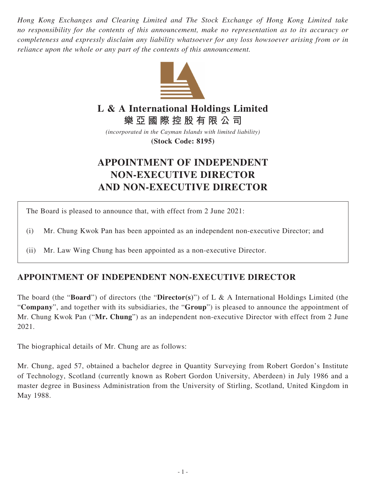*Hong Kong Exchanges and Clearing Limited and The Stock Exchange of Hong Kong Limited take no responsibility for the contents of this announcement, make no representation as to its accuracy or completeness and expressly disclaim any liability whatsoever for any loss howsoever arising from or in reliance upon the whole or any part of the contents of this announcement.*



## **L & A International Holdings Limited**

**樂亞國際控股有限公司**

*(incorporated in the Cayman Islands with limited liability)* **(Stock Code: 8195)**

## **APPOINTMENT OF INDEPENDENT NON-EXECUTIVE DIRECTOR AND NON-EXECUTIVE DIRECTOR**

The Board is pleased to announce that, with effect from 2 June 2021:

- (i) Mr. Chung Kwok Pan has been appointed as an independent non-executive Director; and
- (ii) Mr. Law Wing Chung has been appointed as a non-executive Director.

## **APPOINTMENT OF INDEPENDENT NON-EXECUTIVE DIRECTOR**

The board (the "**Board**") of directors (the "**Director(s)**") of L & A International Holdings Limited (the "**Company**", and together with its subsidiaries, the "**Group**") is pleased to announce the appointment of Mr. Chung Kwok Pan ("**Mr. Chung**") as an independent non-executive Director with effect from 2 June 2021.

The biographical details of Mr. Chung are as follows:

Mr. Chung, aged 57, obtained a bachelor degree in Quantity Surveying from Robert Gordon's Institute of Technology, Scotland (currently known as Robert Gordon University, Aberdeen) in July 1986 and a master degree in Business Administration from the University of Stirling, Scotland, United Kingdom in May 1988.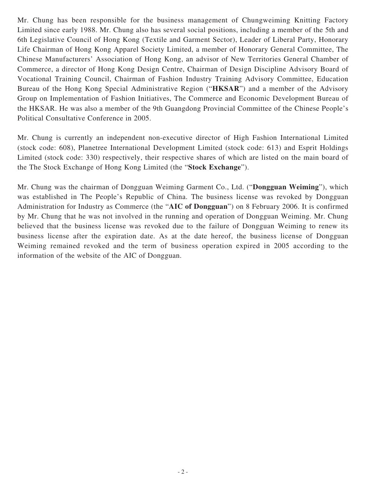Mr. Chung has been responsible for the business management of Chungweiming Knitting Factory Limited since early 1988. Mr. Chung also has several social positions, including a member of the 5th and 6th Legislative Council of Hong Kong (Textile and Garment Sector), Leader of Liberal Party, Honorary Life Chairman of Hong Kong Apparel Society Limited, a member of Honorary General Committee, The Chinese Manufacturers' Association of Hong Kong, an advisor of New Territories General Chamber of Commerce, a director of Hong Kong Design Centre, Chairman of Design Discipline Advisory Board of Vocational Training Council, Chairman of Fashion Industry Training Advisory Committee, Education Bureau of the Hong Kong Special Administrative Region ("**HKSAR**") and a member of the Advisory Group on Implementation of Fashion Initiatives, The Commerce and Economic Development Bureau of the HKSAR. He was also a member of the 9th Guangdong Provincial Committee of the Chinese People's Political Consultative Conference in 2005.

Mr. Chung is currently an independent non-executive director of High Fashion International Limited (stock code: 608), Planetree International Development Limited (stock code: 613) and Esprit Holdings Limited (stock code: 330) respectively, their respective shares of which are listed on the main board of the The Stock Exchange of Hong Kong Limited (the "**Stock Exchange**").

Mr. Chung was the chairman of Dongguan Weiming Garment Co., Ltd. ("**Dongguan Weiming**"), which was established in The People's Republic of China. The business license was revoked by Dongguan Administration for Industry as Commerce (the "**AIC of Dongguan**") on 8 February 2006. It is confirmed by Mr. Chung that he was not involved in the running and operation of Dongguan Weiming. Mr. Chung believed that the business license was revoked due to the failure of Dongguan Weiming to renew its business license after the expiration date. As at the date hereof, the business license of Dongguan Weiming remained revoked and the term of business operation expired in 2005 according to the information of the website of the AIC of Dongguan.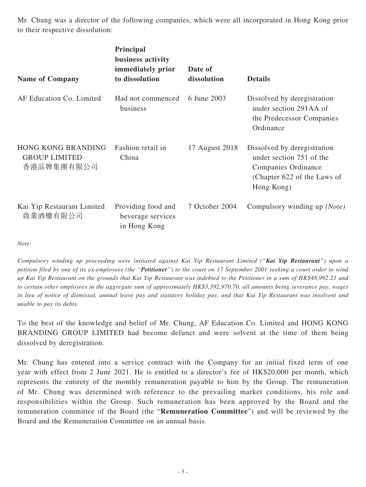Mr. Chung was a director of the following companies, which were all incorporated in Hong Kong prior to their respective dissolution:

| <b>Name of Company</b>                                   | Principal<br>business activity<br>immediately prior<br>to dissolution | Date of<br>dissolution | <b>Details</b>                                                                                                              |
|----------------------------------------------------------|-----------------------------------------------------------------------|------------------------|-----------------------------------------------------------------------------------------------------------------------------|
| AF Education Co. Limited                                 | Had not commenced<br>business                                         | 6 June 2003            | Dissolved by deregistration<br>under section 291AA of<br>the Predecessor Companies<br>Ordinance                             |
| HONG KONG BRANDING<br><b>GROUP LIMITED</b><br>香港品牌集團有限公司 | Fashion retail in<br>China                                            | 17 August 2018         | Dissolved by deregistration<br>under section 751 of the<br>Companies Ordinance<br>(Chapter 622 of the Laws of<br>Hong Kong) |
| Kai Yip Restaurant Limited<br>啟業酒樓有限公司                   | Providing food and<br>beverage services<br>in Hong Kong               | 7 October 2004         | Compulsory winding up (Note)                                                                                                |

*Note:*

*Compulsory winding up proceeding were initiated against Kai Yip Restaurant Limited ("Kai Yip Restaurant") upon a petition filed by one of its ex-employees (the "Petitioner") to the court on 17 September 2001 seeking a court order to wind up Kai Yip Restaurant on the grounds that Kai Yip Restaurant was indebted to the Petitioner in a sum of HK\$48,992.21 and to certain other employees in the aggregate sum of approximately HK\$3,392,970.70, all amounts being severance pay, wages in lieu of notice of dismissal, annual leave pay and statutory holiday pay, and that Kai Yip Restaurant was insolvent and unable to pay its debts.*

To the best of the knowledge and belief of Mr. Chung, AF Education Co. Limited and HONG KONG BRANDING GROUP LIMITED had become defunct and were solvent at the time of them being dissolved by deregistration.

Mr. Chung has entered into a service contract with the Company for an initial fixed term of one year with effect from 2 June 2021. He is entitled to a director's fee of HK\$20,000 per month, which represents the entirety of the monthly remuneration payable to him by the Group. The remuneration of Mr. Chung was determined with reference to the prevailing market conditions, his role and responsibilities within the Group. Such remuneration has been approved by the Board and the remuneration committee of the Board (the "**Remuneration Committee**") and will be reviewed by the Board and the Remuneration Committee on an annual basis.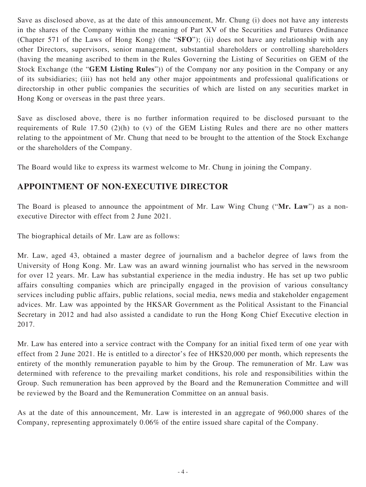Save as disclosed above, as at the date of this announcement, Mr. Chung (i) does not have any interests in the shares of the Company within the meaning of Part XV of the Securities and Futures Ordinance (Chapter 571 of the Laws of Hong Kong) (the "**SFO**"); (ii) does not have any relationship with any other Directors, supervisors, senior management, substantial shareholders or controlling shareholders (having the meaning ascribed to them in the Rules Governing the Listing of Securities on GEM of the Stock Exchange (the "**GEM Listing Rules**")) of the Company nor any position in the Company or any of its subsidiaries; (iii) has not held any other major appointments and professional qualifications or directorship in other public companies the securities of which are listed on any securities market in Hong Kong or overseas in the past three years.

Save as disclosed above, there is no further information required to be disclosed pursuant to the requirements of Rule 17.50 (2)(h) to (v) of the GEM Listing Rules and there are no other matters relating to the appointment of Mr. Chung that need to be brought to the attention of the Stock Exchange or the shareholders of the Company.

The Board would like to express its warmest welcome to Mr. Chung in joining the Company.

## **APPOINTMENT OF NON-EXECUTIVE DIRECTOR**

The Board is pleased to announce the appointment of Mr. Law Wing Chung ("**Mr. Law**") as a nonexecutive Director with effect from 2 June 2021.

The biographical details of Mr. Law are as follows:

Mr. Law, aged 43, obtained a master degree of journalism and a bachelor degree of laws from the University of Hong Kong. Mr. Law was an award winning journalist who has served in the newsroom for over 12 years. Mr. Law has substantial experience in the media industry. He has set up two public affairs consulting companies which are principally engaged in the provision of various consultancy services including public affairs, public relations, social media, news media and stakeholder engagement advices. Mr. Law was appointed by the HKSAR Government as the Political Assistant to the Financial Secretary in 2012 and had also assisted a candidate to run the Hong Kong Chief Executive election in 2017.

Mr. Law has entered into a service contract with the Company for an initial fixed term of one year with effect from 2 June 2021. He is entitled to a director's fee of HK\$20,000 per month, which represents the entirety of the monthly remuneration payable to him by the Group. The remuneration of Mr. Law was determined with reference to the prevailing market conditions, his role and responsibilities within the Group. Such remuneration has been approved by the Board and the Remuneration Committee and will be reviewed by the Board and the Remuneration Committee on an annual basis.

As at the date of this announcement, Mr. Law is interested in an aggregate of 960,000 shares of the Company, representing approximately 0.06% of the entire issued share capital of the Company.